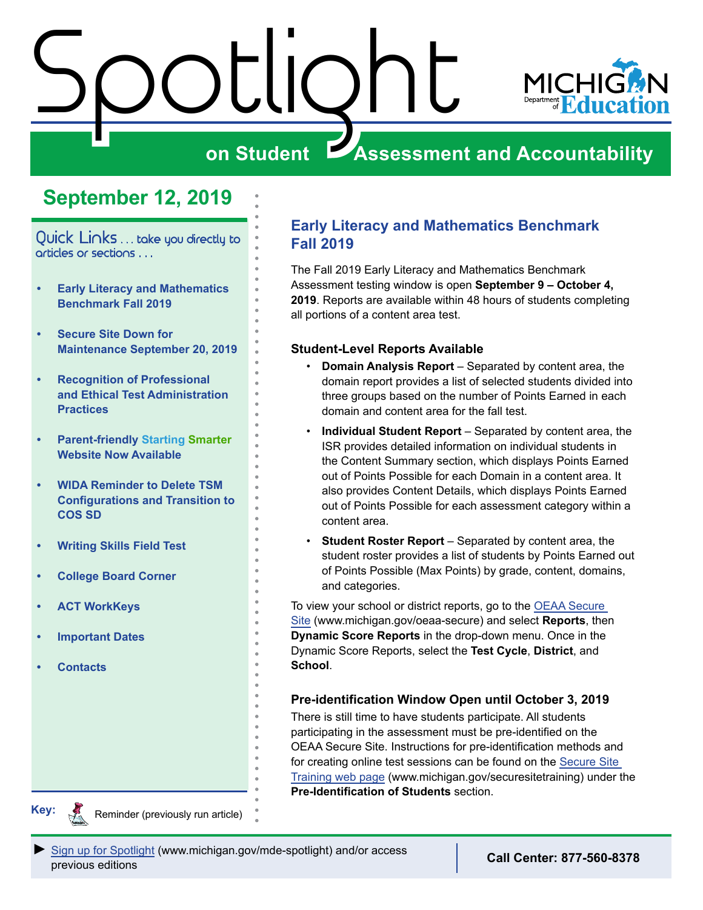# <span id="page-0-0"></span>Spotlight



## **on Student Assessment and Accountability**

## **September 12, 2019**

Quick Links . . . take you directly to articles or sections . . .

- **• Early Literacy and Mathematics Benchmark Fall 2019**
- **• [Secure Site Down for](#page-1-0)  [Maintenance September 20, 2019](#page-1-0)**
- **• [Recognition of Professional](#page-1-0)  [and Ethical Test Administration](#page-1-0)  [Practices](#page-1-0)**
- **• [Parent-friendly Starting](#page-3-0) Smarter [Website Now Available](#page-3-0)**
- **• [WIDA Reminder to Delete TSM](#page-3-0)  [Configurations and Transition to](#page-3-0)  [COS SD](#page-3-0)**
- **• [Writing Skills Field Test](#page-4-0)**
- **• [College Board Corner](#page-5-0)**
- **• [ACT WorkKeys](#page-7-0)**
- **• [Important Dates](#page-8-0)**
- **• [Contacts](#page-9-0)**

#### **Early Literacy and Mathematics Benchmark Fall 2019**

The Fall 2019 Early Literacy and Mathematics Benchmark Assessment testing window is open **September 9 – October 4, 2019**. Reports are available within 48 hours of students completing all portions of a content area test.

#### **Student-Level Reports Available**

- **Domain Analysis Report** Separated by content area, the domain report provides a list of selected students divided into three groups based on the number of Points Earned in each domain and content area for the fall test.
- **Individual Student Report** Separated by content area, the ISR provides detailed information on individual students in the Content Summary section, which displays Points Earned out of Points Possible for each Domain in a content area. It also provides Content Details, which displays Points Earned out of Points Possible for each assessment category within a content area.
- **Student Roster Report** Separated by content area, the student roster provides a list of students by Points Earned out of Points Possible (Max Points) by grade, content, domains, and categories.

To view your school or district reports, go to the [OEAA Secure](http://www.michigan.gov/oeaa-secure)  [Site](http://www.michigan.gov/oeaa-secure) (www.michigan.gov/oeaa-secure) and select **Reports**, then **Dynamic Score Reports** in the drop-down menu. Once in the Dynamic Score Reports, select the **Test Cycle**, **District**, and **School**.

#### **Pre-identification Window Open until October 3, 2019**

There is still time to have students participate. All students participating in the assessment must be pre-identified on the OEAA Secure Site. Instructions for pre-identification methods and for creating online test sessions can be found on the [Secure Site](http://www.michigan.gov/securesitetraining)  [Training web page](http://www.michigan.gov/securesitetraining) (www.michigan.gov/securesitetraining) under the **Pre-Identification of Students** section.

**Key:**

Reminders

Reminder (previously run article)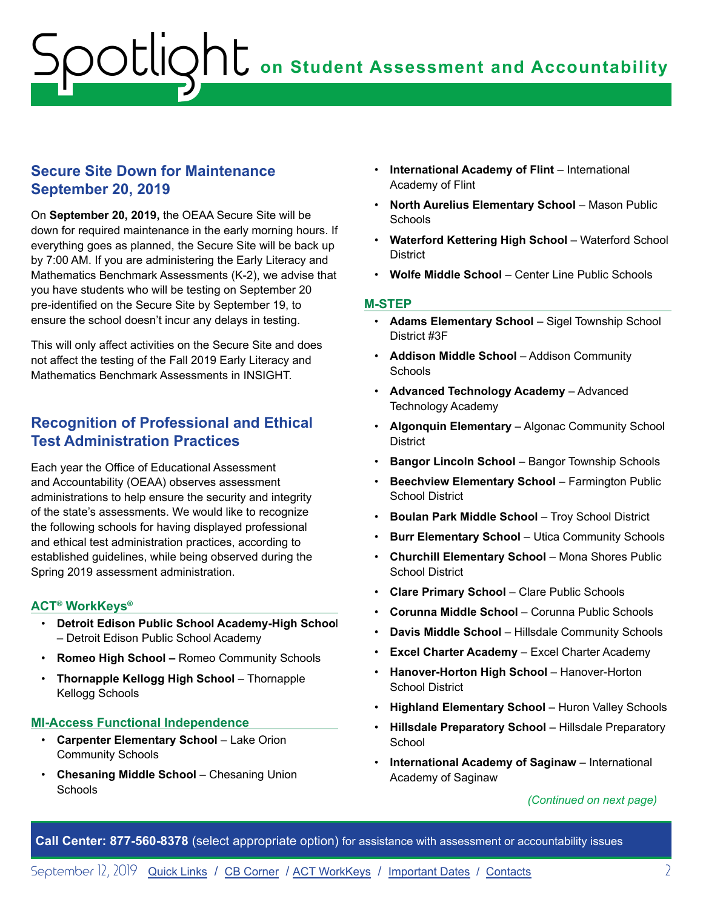#### <span id="page-1-0"></span>**Secure Site Down for Maintenance September 20, 2019**

On **September 20, 2019,** the OEAA Secure Site will be down for required maintenance in the early morning hours. If everything goes as planned, the Secure Site will be back up by 7:00 AM. If you are administering the Early Literacy and Mathematics Benchmark Assessments (K-2), we advise that you have students who will be testing on September 20 pre-identified on the Secure Site by September 19, to ensure the school doesn't incur any delays in testing.

This will only affect activities on the Secure Site and does not affect the testing of the Fall 2019 Early Literacy and Mathematics Benchmark Assessments in INSIGHT.

#### **Recognition of Professional and Ethical Test Administration Practices**

Each year the Office of Educational Assessment and Accountability (OEAA) observes assessment administrations to help ensure the security and integrity of the state's assessments. We would like to recognize the following schools for having displayed professional and ethical test administration practices, according to established guidelines, while being observed during the Spring 2019 assessment administration.

#### **ACT® WorkKeys®**

- **Detroit Edison Public School Academy-High Schoo**l – Detroit Edison Public School Academy
- **Romeo High School** Romeo Community Schools
- **Thornapple Kellogg High School** Thornapple Kellogg Schools

#### **MI-Access Functional Independence**

- **Carpenter Elementary School**  Lake Orion Community Schools
- **Chesaning Middle School** Chesaning Union **Schools**
- **International Academy of Flint** International Academy of Flint
- **North Aurelius Elementary School** Mason Public **Schools**
- **Waterford Kettering High School**  Waterford School **District**
- **Wolfe Middle School** Center Line Public Schools

#### **M-STEP**

- **Adams Elementary School** Sigel Township School District #3F
- **Addison Middle School** Addison Community **Schools**
- **Advanced Technology Academy** Advanced Technology Academy
- **Algonquin Elementary** Algonac Community School **District**
- **Bangor Lincoln School Bangor Township Schools**
- **Beechview Elementary School Farmington Public** School District
- **Boulan Park Middle School** Troy School District
- **Burr Elementary School Utica Community Schools**
- **Churchill Elementary School**  Mona Shores Public School District
- **Clare Primary School** Clare Public Schools
- **Corunna Middle School**  Corunna Public Schools
- **Davis Middle School** Hillsdale Community Schools
- **Excel Charter Academy** Excel Charter Academy
- **Hanover-Horton High School**  Hanover-Horton School District
- **Highland Elementary School** Huron Valley Schools
- Hillsdale Preparatory School Hillsdale Preparatory **School**
- **International Academy of Saginaw** International Academy of Saginaw

#### *(Continued on next page)*

**Call Center: 877-560-8378** (select appropriate option) for assistance with assessment or accountability issues

September 12, 2019 [Quick Links](#page-0-0) / [CB Corner](#page-5-1) / [ACT WorkKeys](#page-7-1) / [Important Dates](#page-8-1) / [Contacts](#page-9-1) 2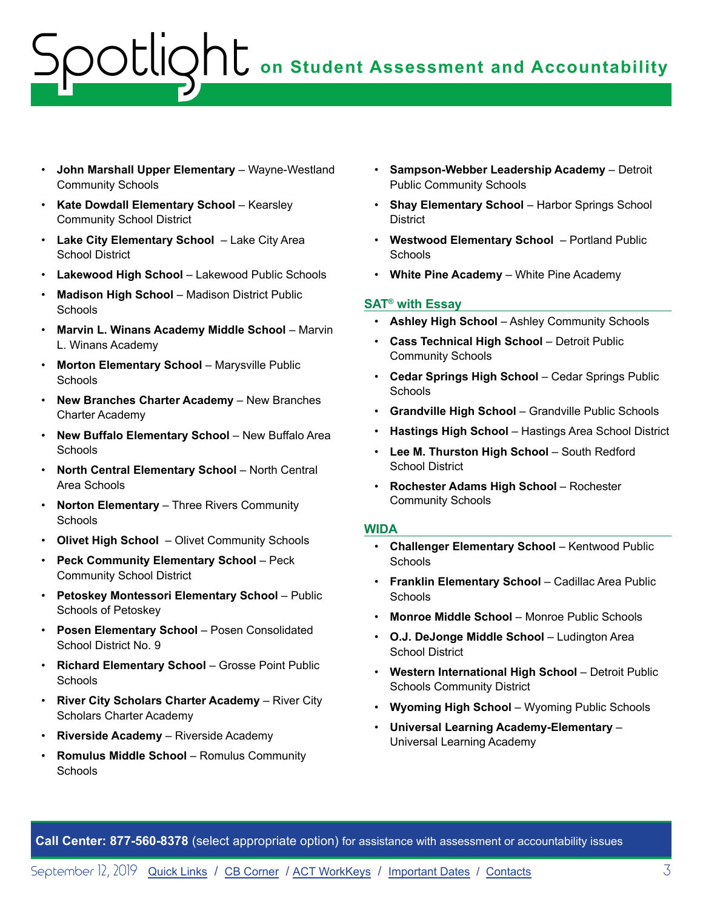# **)**  $\prod$  on Student Assessment and Accountability potlic

- **John Marshall Upper Elementary**  Wayne-Westland Community Schools
- **Kate Dowdall Elementary School** Kearsley Community School District
- **Lake City Elementary School**  Lake City Area School District
- **Lakewood High School** Lakewood Public Schools
- **Madison High School** Madison District Public **Schools**
- **Marvin L. Winans Academy Middle School** Marvin L. Winans Academy
- Morton Elementary School Marysville Public **Schools**
- **New Branches Charter Academy** New Branches Charter Academy
- **New Buffalo Elementary School** New Buffalo Area **Schools**
- **North Central Elementary School** North Central Area Schools
- **Norton Elementary** Three Rivers Community **Schools**
- **Olivet High School** Olivet Community Schools
- **Peck Community Elementary School**  Peck Community School District
- **Petoskey Montessori Elementary School** Public Schools of Petoskey
- **Posen Elementary School** Posen Consolidated School District No. 9
- **Richard Elementary School** Grosse Point Public **Schools**
- **River City Scholars Charter Academy** River City Scholars Charter Academy
- **Riverside Academy** Riverside Academy
- **Romulus Middle School** Romulus Community **Schools**
- **Sampson-Webber Leadership Academy**  Detroit Public Community Schools
- **Shay Elementary School** Harbor Springs School **District**
- **Westwood Elementary School**  Portland Public **Schools**
- **White Pine Academy** White Pine Academy

#### **SAT® with Essay**

- **Ashley High School** Ashley Community Schools
- **Cass Technical High School** Detroit Public Community Schools
- **Cedar Springs High School** Cedar Springs Public **Schools**
- **Grandville High School** Grandville Public Schools
- **Hastings High School** Hastings Area School District
- **Lee M. Thurston High School** South Redford School District
- **Rochester Adams High School** Rochester Community Schools

#### **WIDA**

- **Challenger Elementary School** Kentwood Public **Schools**
- **Franklin Elementary School** Cadillac Area Public Schools
- **Monroe Middle School** Monroe Public Schools
- **O.J. DeJonge Middle School** Ludington Area School District
- **Western International High School** Detroit Public Schools Community District
- **Wyoming High School** Wyoming Public Schools
- **Universal Learning Academy-Elementary** Universal Learning Academy

**Call Center: 877-560-8378** (select appropriate option) for assistance with assessment or accountability issues

September 12, 2019 [Quick Links](#page-0-0) / [CB Corner](#page-5-1) / [ACT WorkKeys](#page-7-1) / [Important Dates](#page-8-1) / [Contacts](#page-9-1) 3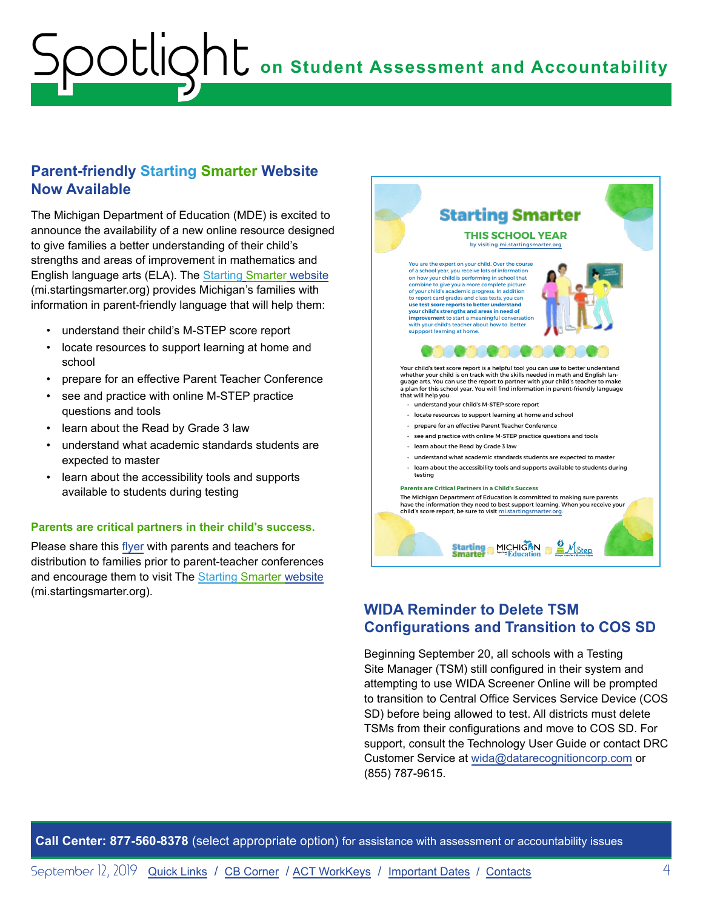#### <span id="page-3-0"></span>**Parent-friendly Starting Smarter Website Now Available**

The Michigan Department of Education (MDE) is excited to announce the availability of a new online resource designed to give families a better understanding of their child's strengths and areas of improvement in mathematics and English language arts (ELA). The Starting [Smarter website](http://mi.startingsmarter.org) (mi.startingsmarter.org) provides Michigan's families with information in parent-friendly language that will help them:

- understand their child's M-STEP score report
- locate resources to support learning at home and school
- prepare for an effective Parent Teacher Conference
- see and practice with online M-STEP practice questions and tools
- learn about the Read by Grade 3 law
- understand what academic standards students are expected to master
- learn about the accessibility tools and supports available to students during testing

#### **Parents are critical partners in their child's success.**

Please share this [flyer](https://www.michigan.gov/documents/mde/Starting_Smarter_Flyer_664030_7.pdf) with parents and teachers for distribution to families prior to parent-teacher conferences and encourage them to visit The [Starting Smarter website](http://mi.startingsmarter.org) (mi.startingsmarter.org).



## **WIDA Reminder to Delete TSM Configurations and Transition to COS SD**

Beginning September 20, all schools with a Testing Site Manager (TSM) still configured in their system and attempting to use WIDA Screener Online will be prompted to transition to Central Office Services Service Device (COS SD) before being allowed to test. All districts must delete TSMs from their configurations and move to COS SD. For support, consult the Technology User Guide or contact DRC Customer Service at [wida@datarecognitioncorp.com](mailto:wida%40datarecognitioncorp.com?subject=) or (855) 787-9615.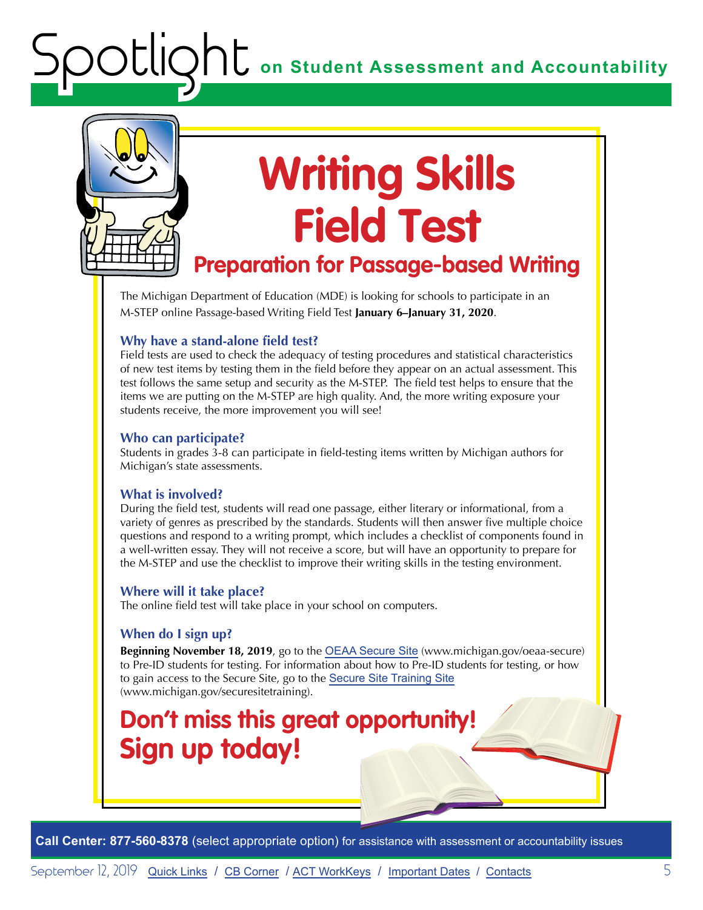<span id="page-4-0"></span>

# **Writing Skills Field Test**

## **Preparation for Passage-based Writing**

The Michigan Department of Education (MDE) is looking for schools to participate in an M-STEP online Passage-based Writing Field Test **January 6–January 31, 2020**.

#### **Why have a stand-alone field test?**

Field tests are used to check the adequacy of testing procedures and statistical characteristics of new test items by testing them in the field before they appear on an actual assessment. This test follows the same setup and security as the M-STEP. The field test helps to ensure that the items we are putting on the M-STEP are high quality. And, the more writing exposure your students receive, the more improvement you will see!

#### **Who can participate?**

Students in grades 3-8 can participate in field-testing items written by Michigan authors for Michigan's state assessments.

#### **What is involved?**

During the field test, students will read one passage, either literary or informational, from a variety of genres as prescribed by the standards. Students will then answer five multiple choice questions and respond to a writing prompt, which includes a checklist of components found in a well-written essay. They will not receive a score, but will have an opportunity to prepare for the M-STEP and use the checklist to improve their writing skills in the testing environment.

#### **Where will it take place?**

The online field test will take place in your school on computers.

#### **When do I sign up?**

**Beginning November 18, 2019**, go to the [OEAA Secure Site](https://baa.state.mi.us/BAASecure/Login.aspx?enc=sQSIGs0qddc8WQf7JFtN/SpfRkjPVagJieGJfCfA2ZD5TduqOupZF6dMDjOxJNlz) (www.michigan.gov/oeaa-secure) to Pre-ID students for testing. For information about how to Pre-ID students for testing, or how to gain access to the Secure Site, go to the [Secure Site Training Site](https://www.michigan.gov/mde/0,4615,7-140-22709_57003---,00.html) (www.michigan.gov/securesitetraining).

## **Don't miss this great opportunity! Sign up today!**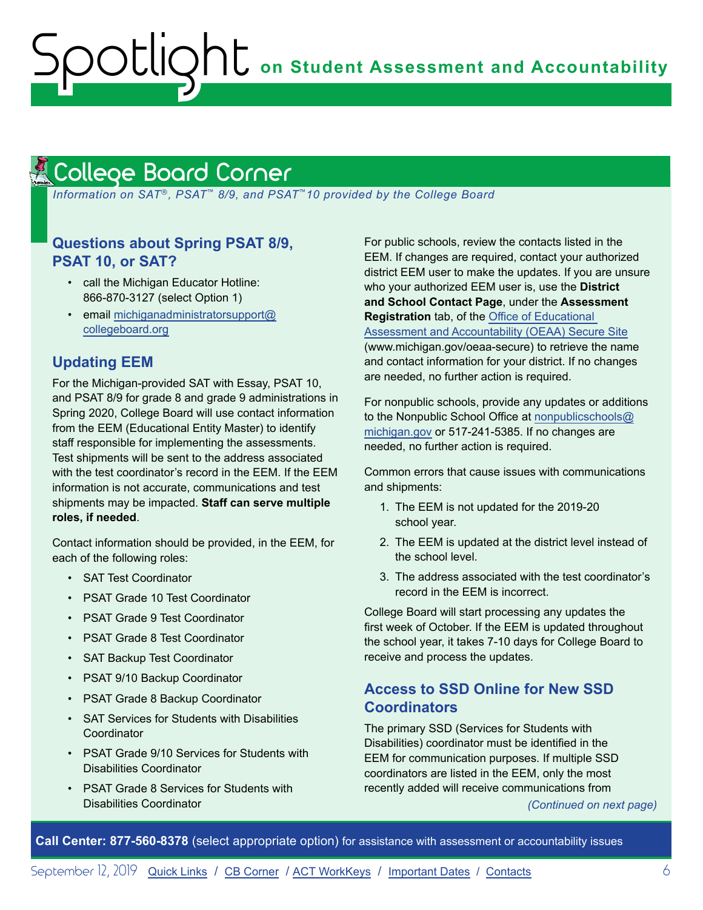#### <span id="page-5-1"></span><span id="page-5-0"></span>College Board Corner **Reminders**

 *Information on SAT*®*, PSAT*™ *8/9, and PSAT*™*10 provided by the College Board*

#### **Questions about Spring PSAT 8/9, PSAT 10, or SAT?**

- call the Michigan Educator Hotline: 866-870-3127 (select Option 1)
- email [michiganadministratorsupport@](mailto:michiganadministratorsupport%40collegeboard.org?subject=) [collegeboard.org](mailto:michiganadministratorsupport%40collegeboard.org?subject=)

#### **Updating EEM**

For the Michigan-provided SAT with Essay, PSAT 10, and PSAT 8/9 for grade 8 and grade 9 administrations in Spring 2020, College Board will use contact information from the EEM (Educational Entity Master) to identify staff responsible for implementing the assessments. Test shipments will be sent to the address associated with the test coordinator's record in the EEM. If the EEM information is not accurate, communications and test shipments may be impacted. **Staff can serve multiple roles, if needed**.

Contact information should be provided, in the EEM, for each of the following roles:

- SAT Test Coordinator
- PSAT Grade 10 Test Coordinator
- PSAT Grade 9 Test Coordinator
- PSAT Grade 8 Test Coordinator
- SAT Backup Test Coordinator
- PSAT 9/10 Backup Coordinator
- PSAT Grade 8 Backup Coordinator
- SAT Services for Students with Disabilities **Coordinator**
- PSAT Grade 9/10 Services for Students with Disabilities Coordinator
- PSAT Grade 8 Services for Students with Disabilities Coordinator

For public schools, review the contacts listed in the EEM. If changes are required, contact your authorized district EEM user to make the updates. If you are unsure who your authorized EEM user is, use the **District and School Contact Page**, under the **Assessment Registration** tab, of the [Office of Educational](http://www.michigan.gov/oeaa-secure)  [Assessment and Accountability \(OEAA\) Secure Site](http://www.michigan.gov/oeaa-secure) (www.michigan.gov/oeaa-secure) to retrieve the name and contact information for your district. If no changes are needed, no further action is required.

For nonpublic schools, provide any updates or additions to the Nonpublic School Office at [nonpublicschools@](mailto:nonpublicschools%40michigan.gov?subject=) [michigan.gov](mailto:nonpublicschools%40michigan.gov?subject=) or 517-241-5385. If no changes are needed, no further action is required.

Common errors that cause issues with communications and shipments:

- 1. The EEM is not updated for the 2019-20 school year.
- 2. The EEM is updated at the district level instead of the school level.
- 3. The address associated with the test coordinator's record in the EEM is incorrect.

College Board will start processing any updates the first week of October. If the EEM is updated throughout the school year, it takes 7-10 days for College Board to receive and process the updates.

#### **Access to SSD Online for New SSD Coordinators**

The primary SSD (Services for Students with Disabilities) coordinator must be identified in the EEM for communication purposes. If multiple SSD coordinators are listed in the EEM, only the most recently added will receive communications from

*(Continued on next page)*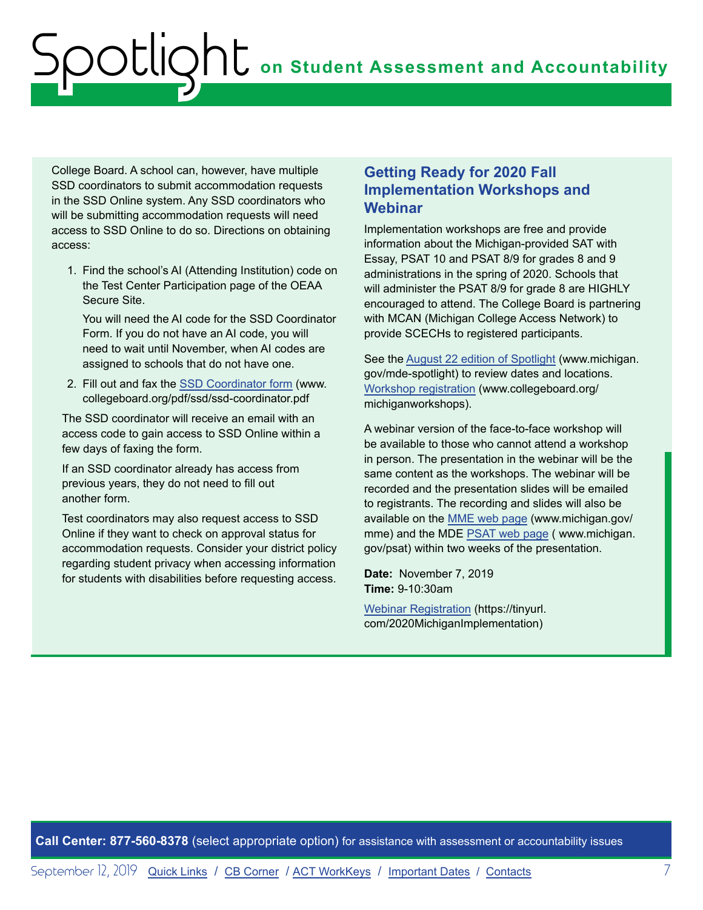College Board. A school can, however, have multiple SSD coordinators to submit accommodation requests in the SSD Online system. Any SSD coordinators who will be submitting accommodation requests will need access to SSD Online to do so. Directions on obtaining access:

1. Find the school's AI (Attending Institution) code on the Test Center Participation page of the OEAA Secure Site.

You will need the AI code for the SSD Coordinator Form. If you do not have an AI code, you will need to wait until November, when AI codes are assigned to schools that do not have one.

2. Fill out and fax the [SSD Coordinator form](http://www.collegeboard.org/pdf/ssd/ssd-coordinator.pdf) (www. collegeboard.org/pdf/ssd/ssd-coordinator.pdf

The SSD coordinator will receive an email with an access code to gain access to SSD Online within a few days of faxing the form.

If an SSD coordinator already has access from previous years, they do not need to fill out another form.

Test coordinators may also request access to SSD Online if they want to check on approval status for accommodation requests. Consider your district policy regarding student privacy when accessing information for students with disabilities before requesting access.

#### **Getting Ready for 2020 Fall Implementation Workshops and Webinar**

Implementation workshops are free and provide information about the Michigan-provided SAT with Essay, PSAT 10 and PSAT 8/9 for grades 8 and 9 administrations in the spring of 2020. Schools that will administer the PSAT 8/9 for grade 8 are HIGHLY encouraged to attend. The College Board is partnering with MCAN (Michigan College Access Network) to provide SCECHs to registered participants.

See the [August 22 edition of Spotlight](https://www.michigan.gov/documents/mde/Spotlight_8-22-19_664068_7.pdf) (www.michigan. gov/mde-spotlight) to review dates and locations. [Workshop registration](http://www.collegeboard.org/michiganworkshops) (www.collegeboard.org/ michiganworkshops).

A webinar version of the face-to-face workshop will be available to those who cannot attend a workshop in person. The presentation in the webinar will be the same content as the workshops. The webinar will be recorded and the presentation slides will be emailed to registrants. The recording and slides will also be available on the [MME web page](www.michigan.gov/mme) (www.michigan.gov/ mme) and the MDE [PSAT web page](http://www.michigan.gov/psat) ( www.michigan. gov/psat) within two weeks of the presentation.

**Date:** November 7, 2019 **Time:** 9-10:30am

[Webinar Registration](https://tinyurl.com/2020MichiganImplementation) (https://tinyurl. com/2020MichiganImplementation)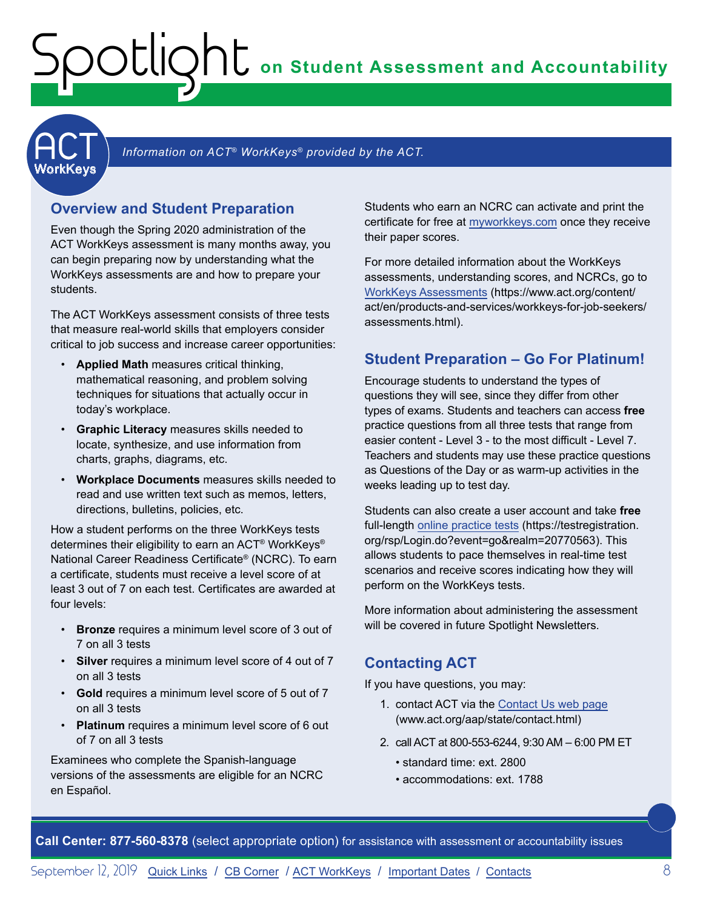## **on Student Assessment and Accountability**

<span id="page-7-1"></span>

#### Information on ACT<sup>®</sup> WorkKeys<sup>®</sup> provided by the ACT.

#### **Overview and Student Preparation**

<span id="page-7-0"></span>Spotlight

Even though the Spring 2020 administration of the ACT WorkKeys assessment is many months away, you can begin preparing now by understanding what the WorkKeys assessments are and how to prepare your students.

The ACT WorkKeys assessment consists of three tests that measure real-world skills that employers consider critical to job success and increase career opportunities:

- **Applied Math** measures critical thinking, mathematical reasoning, and problem solving techniques for situations that actually occur in today's workplace.
- **Graphic Literacy** measures skills needed to locate, synthesize, and use information from charts, graphs, diagrams, etc.
- **Workplace Documents** measures skills needed to read and use written text such as memos, letters, directions, bulletins, policies, etc.

How a student performs on the three WorkKeys tests determines their eligibility to earn an ACT® WorkKeys® National Career Readiness Certificate® (NCRC). To earn a certificate, students must receive a level score of at least 3 out of 7 on each test. Certificates are awarded at four levels:

- **Bronze** requires a minimum level score of 3 out of 7 on all 3 tests
- **Silver** requires a minimum level score of 4 out of 7 on all 3 tests
- **Gold** requires a minimum level score of 5 out of 7 on all 3 tests
- **Platinum** requires a minimum level score of 6 out of 7 on all 3 tests

Examinees who complete the Spanish-language versions of the assessments are eligible for an NCRC en Español.

Students who earn an NCRC can activate and print the certificate for free at [myworkkeys.com](http://www.myworkkeys.com) once they receive their paper scores.

For more detailed information about the WorkKeys assessments, understanding scores, and NCRCs, go to [WorkKeys Assessments](ttps://www.act.org/content/act/en/products-and-services/workkeys-for-job-seekers/assessments.html) (https://www.act.org/content/ act/en/products-and-services/workkeys-for-job-seekers/ assessments.html).

#### **Student Preparation – Go For Platinum!**

Encourage students to understand the types of questions they will see, since they differ from other types of exams. Students and teachers can access **free** practice questions from all three tests that range from easier content - Level 3 - to the most difficult - Level 7. Teachers and students may use these practice questions as Questions of the Day or as warm-up activities in the weeks leading up to test day.

Students can also create a user account and take **free**  full-length [online practice tests](https://testregistration.org/rsp/Login.do?event=go&realm=20770563) (https://testregistration. org/rsp/Login.do?event=go&realm=20770563). This allows students to pace themselves in real-time test scenarios and receive scores indicating how they will perform on the WorkKeys tests.

More information about administering the assessment will be covered in future Spotlight Newsletters.

#### **Contacting ACT**

If you have questions, you may:

- 1. contact ACT via the [Contact Us web page](http://www.act.org/aap/state/contact.html) ([www.act.org/aap/state/contact.html](https://www.act.org/aap/state/contact.html))
- 2. call ACT at 800-553-6244, 9:30 AM 6:00 PM ET
	- standard time: ext. 2800
	- accommodations: ext. 1788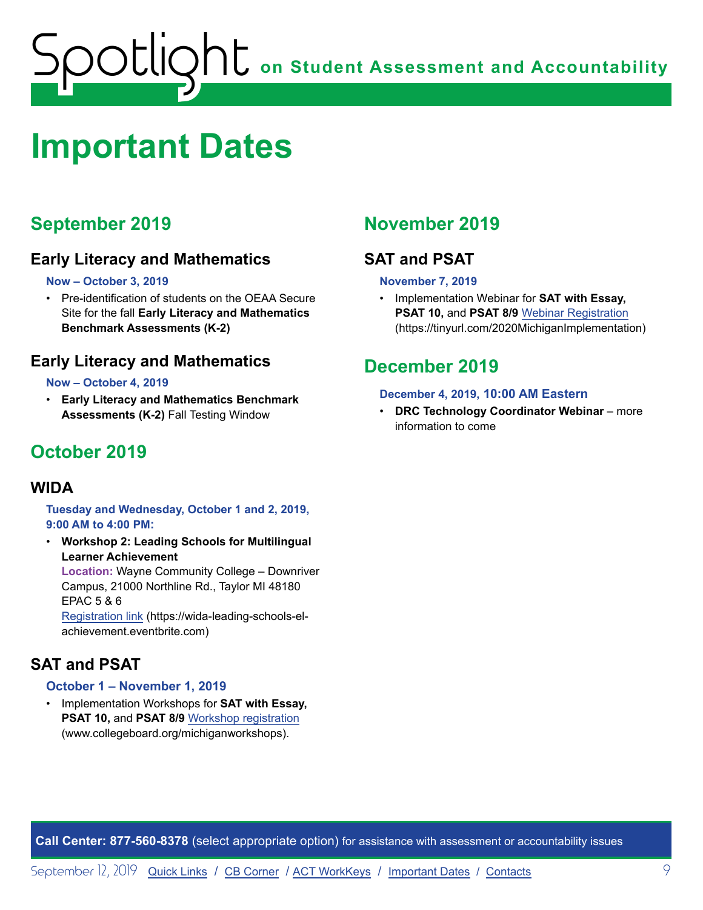# <span id="page-8-1"></span><span id="page-8-0"></span>**Important Dates**

## **September 2019**

## **Early Literacy and Mathematics**

#### **Now – October 3, 2019**

• Pre-identification of students on the OEAA Secure Site for the fall **Early Literacy and Mathematics Benchmark Assessments (K-2)**

## **Early Literacy and Mathematics**

#### **Now – October 4, 2019**

• **Early Literacy and Mathematics Benchmark Assessments (K-2)** Fall Testing Window

## **October 2019**

#### **WIDA**

**Tuesday and Wednesday, October 1 and 2, 2019, 9:00 AM to 4:00 PM:** 

• **Workshop 2: Leading Schools for Multilingual Learner Achievement** 

**Location:** Wayne Community College – Downriver Campus, 21000 Northline Rd., Taylor MI 48180 EPAC 5 & 6

[Registration link](https://wida-leading-schools-el-achievement.eventbrite.com) (https://wida-leading-schools-elachievement.eventbrite.com)

## **SAT and PSAT**

#### **October 1 – November 1, 2019**

• Implementation Workshops for **SAT with Essay, PSAT 10,** and **PSAT 8/9** [Workshop registration](http://www.collegeboard.org/michiganworkshops) (www.collegeboard.org/michiganworkshops).

## **November 2019**

## **SAT and PSAT**

#### **November 7, 2019**

• Implementation Webinar for **SAT with Essay, PSAT 10,** and **PSAT 8/9** [Webinar Registration](https://tinyurl.com/2020MichiganImplementation) (https://tinyurl.com/2020MichiganImplementation)

## **December 2019**

#### **December 4, 2019, 10:00 AM Eastern**

• **DRC Technology Coordinator Webinar** – more information to come